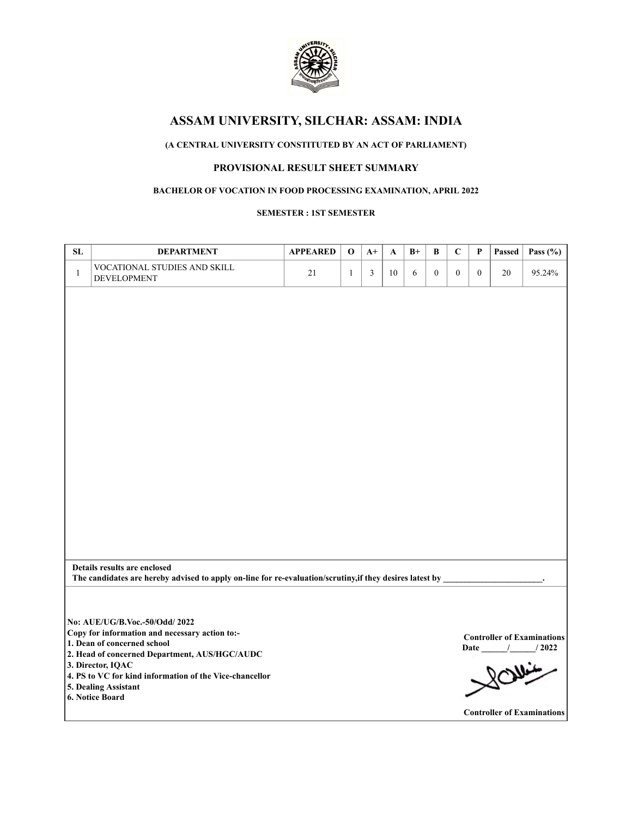

## **(A CENTRAL UNIVERSITY CONSTITUTED BY AN ACT OF PARLIAMENT)**

## **PROVISIONAL RESULT SHEET SUMMARY**

### **BACHELOR OF VOCATION IN FOOD PROCESSING EXAMINATION, APRIL 2022**

#### **SEMESTER : 1ST SEMESTER**

| ${\bf SL}$   | <b>DEPARTMENT</b>                                                                                                                        | <b>APPEARED</b> | $\mathbf 0$  | $A+$ | A  | $B+$ | B                | $\mathbf C$      | P            | Passed | Pass $(\% )$                      |
|--------------|------------------------------------------------------------------------------------------------------------------------------------------|-----------------|--------------|------|----|------|------------------|------------------|--------------|--------|-----------------------------------|
| $\mathbf{1}$ | VOCATIONAL STUDIES AND SKILL<br><b>DEVELOPMENT</b>                                                                                       | 21              | $\mathbf{1}$ | 3    | 10 | 6    | $\boldsymbol{0}$ | $\boldsymbol{0}$ | $\mathbf{0}$ | $20\,$ | 95.24%                            |
|              |                                                                                                                                          |                 |              |      |    |      |                  |                  |              |        |                                   |
|              |                                                                                                                                          |                 |              |      |    |      |                  |                  |              |        |                                   |
|              |                                                                                                                                          |                 |              |      |    |      |                  |                  |              |        |                                   |
|              |                                                                                                                                          |                 |              |      |    |      |                  |                  |              |        |                                   |
|              |                                                                                                                                          |                 |              |      |    |      |                  |                  |              |        |                                   |
|              |                                                                                                                                          |                 |              |      |    |      |                  |                  |              |        |                                   |
|              |                                                                                                                                          |                 |              |      |    |      |                  |                  |              |        |                                   |
|              |                                                                                                                                          |                 |              |      |    |      |                  |                  |              |        |                                   |
|              |                                                                                                                                          |                 |              |      |    |      |                  |                  |              |        |                                   |
|              |                                                                                                                                          |                 |              |      |    |      |                  |                  |              |        |                                   |
|              |                                                                                                                                          |                 |              |      |    |      |                  |                  |              |        |                                   |
|              |                                                                                                                                          |                 |              |      |    |      |                  |                  |              |        |                                   |
|              |                                                                                                                                          |                 |              |      |    |      |                  |                  |              |        |                                   |
|              |                                                                                                                                          |                 |              |      |    |      |                  |                  |              |        |                                   |
|              |                                                                                                                                          |                 |              |      |    |      |                  |                  |              |        |                                   |
|              |                                                                                                                                          |                 |              |      |    |      |                  |                  |              |        |                                   |
|              | Details results are enclosed<br>The candidates are hereby advised to apply on-line for re-evaluation/scrutiny, if they desires latest by |                 |              |      |    |      |                  |                  |              |        |                                   |
|              |                                                                                                                                          |                 |              |      |    |      |                  |                  |              |        |                                   |
|              |                                                                                                                                          |                 |              |      |    |      |                  |                  |              |        |                                   |
|              | No: AUE/UG/B.Voc .- 50/Odd/ 2022                                                                                                         |                 |              |      |    |      |                  |                  |              |        |                                   |
|              | Copy for information and necessary action to:-<br>1. Dean of concerned school                                                            |                 |              |      |    |      |                  |                  |              |        | <b>Controller of Examinations</b> |
|              | 2. Head of concerned Department, AUS/HGC/AUDC                                                                                            |                 |              |      |    |      |                  |                  |              |        | Date / / 2022                     |
|              | 3. Director, IQAC<br>4. PS to VC for kind information of the Vice-chancellor                                                             |                 |              |      |    |      |                  |                  |              |        | 80                                |
|              | 5. Dealing Assistant<br>6. Notice Board                                                                                                  |                 |              |      |    |      |                  |                  |              |        |                                   |
|              |                                                                                                                                          |                 |              |      |    |      |                  |                  |              |        | <b>Controller of Examinations</b> |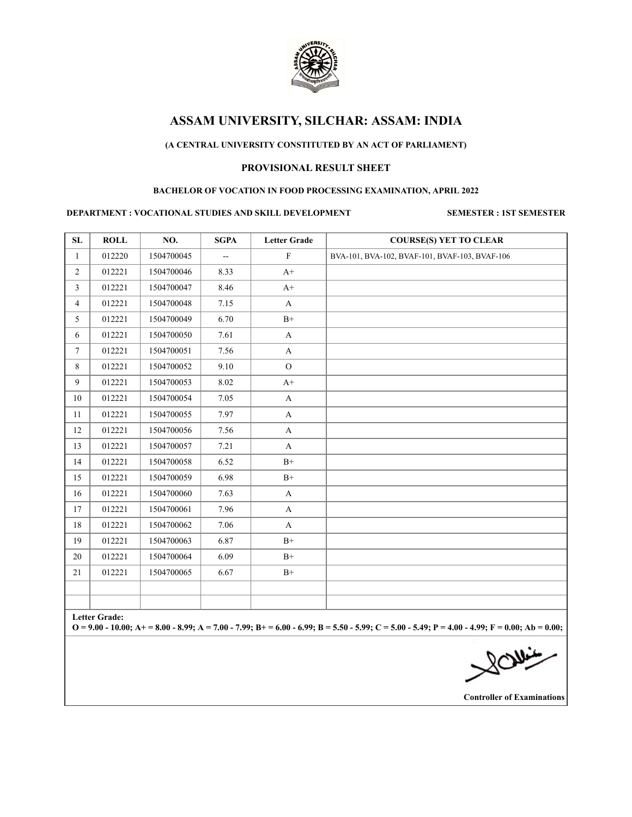

### **(A CENTRAL UNIVERSITY CONSTITUTED BY AN ACT OF PARLIAMENT)**

### **PROVISIONAL RESULT SHEET**

#### **BACHELOR OF VOCATION IN FOOD PROCESSING EXAMINATION, APRIL 2022**

#### **DEPARTMENT : VOCATIONAL STUDIES AND SKILL DEVELOPMENT SEMESTER : 1ST SEMESTER**

| SL             | <b>ROLL</b>   | NO.        | <b>SGPA</b> | <b>Letter Grade</b>   | <b>COURSE(S) YET TO CLEAR</b>                                                                                                                       |
|----------------|---------------|------------|-------------|-----------------------|-----------------------------------------------------------------------------------------------------------------------------------------------------|
| $\mathbf{1}$   | 012220        | 1504700045 | Щ,          | $\mathbf{F}$          | BVA-101, BVA-102, BVAF-101, BVAF-103, BVAF-106                                                                                                      |
| $\overline{2}$ | 012221        | 1504700046 | 8.33        | $A+$                  |                                                                                                                                                     |
| 3              | 012221        | 1504700047 | 8.46        | $A+$                  |                                                                                                                                                     |
| 4              | 012221        | 1504700048 | 7.15        | $\mathbf{A}$          |                                                                                                                                                     |
| 5              | 012221        | 1504700049 | 6.70        | $B+$                  |                                                                                                                                                     |
| 6              | 012221        | 1504700050 | 7.61        | $\boldsymbol{\rm{A}}$ |                                                                                                                                                     |
| $\tau$         | 012221        | 1504700051 | 7.56        | $\mathbf{A}$          |                                                                                                                                                     |
| 8              | 012221        | 1504700052 | 9.10        | $\overline{O}$        |                                                                                                                                                     |
| 9              | 012221        | 1504700053 | 8.02        | $A+$                  |                                                                                                                                                     |
| 10             | 012221        | 1504700054 | 7.05        | $\mathbf{A}$          |                                                                                                                                                     |
| 11             | 012221        | 1504700055 | 7.97        | A                     |                                                                                                                                                     |
| 12             | 012221        | 1504700056 | 7.56        | $\mathbf{A}$          |                                                                                                                                                     |
| 13             | 012221        | 1504700057 | 7.21        | A                     |                                                                                                                                                     |
| 14             | 012221        | 1504700058 | 6.52        | $B+$                  |                                                                                                                                                     |
| 15             | 012221        | 1504700059 | 6.98        | $B+$                  |                                                                                                                                                     |
| 16             | 012221        | 1504700060 | 7.63        | $\mathbf{A}$          |                                                                                                                                                     |
| 17             | 012221        | 1504700061 | 7.96        | A                     |                                                                                                                                                     |
| 18             | 012221        | 1504700062 | 7.06        | A                     |                                                                                                                                                     |
| 19             | 012221        | 1504700063 | 6.87        | $B+$                  |                                                                                                                                                     |
| 20             | 012221        | 1504700064 | 6.09        | $B+$                  |                                                                                                                                                     |
| 21             | 012221        | 1504700065 | 6.67        | $B+$                  |                                                                                                                                                     |
|                |               |            |             |                       |                                                                                                                                                     |
|                |               |            |             |                       |                                                                                                                                                     |
|                | Letter Grade: |            |             |                       | $Q = 9.00 - 10.00$ ; A + = 8.00 - 8.99; A = 7.00 - 7.99; B + = 6.00 - 6.99; B = 5.50 - 5.99; C = 5.00 - 5.49; P = 4.00 - 4.99; F = 0.00; Ab = 0.00; |
|                |               |            |             |                       |                                                                                                                                                     |
|                |               |            |             |                       |                                                                                                                                                     |
|                |               |            |             |                       | 200                                                                                                                                                 |
|                |               |            |             |                       |                                                                                                                                                     |

**Controller of Examinations**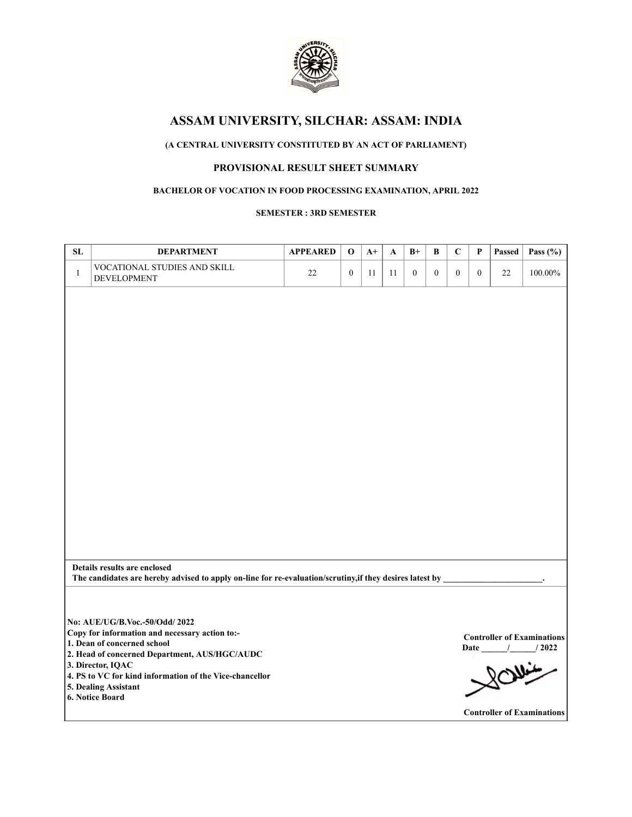

## **(A CENTRAL UNIVERSITY CONSTITUTED BY AN ACT OF PARLIAMENT)**

## **PROVISIONAL RESULT SHEET SUMMARY**

### **BACHELOR OF VOCATION IN FOOD PROCESSING EXAMINATION, APRIL 2022**

**SEMESTER : 3RD SEMESTER**

| SL           | <b>DEPARTMENT</b>                                                                                        | <b>APPEARED</b> | $\mathbf 0$      | $A+$ | A  | $B+$             | B                | $\mathbf C$      | P            | Passed | Pass $(\% )$                                       |
|--------------|----------------------------------------------------------------------------------------------------------|-----------------|------------------|------|----|------------------|------------------|------------------|--------------|--------|----------------------------------------------------|
| $\mathbf{1}$ | VOCATIONAL STUDIES AND SKILL<br>DEVELOPMENT                                                              | 22              | $\boldsymbol{0}$ | 11   | 11 | $\boldsymbol{0}$ | $\boldsymbol{0}$ | $\boldsymbol{0}$ | $\mathbf{0}$ | 22     | $100.00\%$                                         |
|              |                                                                                                          |                 |                  |      |    |                  |                  |                  |              |        |                                                    |
|              |                                                                                                          |                 |                  |      |    |                  |                  |                  |              |        |                                                    |
|              |                                                                                                          |                 |                  |      |    |                  |                  |                  |              |        |                                                    |
|              |                                                                                                          |                 |                  |      |    |                  |                  |                  |              |        |                                                    |
|              |                                                                                                          |                 |                  |      |    |                  |                  |                  |              |        |                                                    |
|              |                                                                                                          |                 |                  |      |    |                  |                  |                  |              |        |                                                    |
|              |                                                                                                          |                 |                  |      |    |                  |                  |                  |              |        |                                                    |
|              |                                                                                                          |                 |                  |      |    |                  |                  |                  |              |        |                                                    |
|              |                                                                                                          |                 |                  |      |    |                  |                  |                  |              |        |                                                    |
|              |                                                                                                          |                 |                  |      |    |                  |                  |                  |              |        |                                                    |
|              |                                                                                                          |                 |                  |      |    |                  |                  |                  |              |        |                                                    |
|              |                                                                                                          |                 |                  |      |    |                  |                  |                  |              |        |                                                    |
|              |                                                                                                          |                 |                  |      |    |                  |                  |                  |              |        |                                                    |
|              | Details results are enclosed                                                                             |                 |                  |      |    |                  |                  |                  |              |        |                                                    |
|              | The candidates are hereby advised to apply on-line for re-evaluation/scrutiny, if they desires latest by |                 |                  |      |    |                  |                  |                  |              |        |                                                    |
|              |                                                                                                          |                 |                  |      |    |                  |                  |                  |              |        |                                                    |
|              | No: AUE/UG/B.Voc - 50/Odd/ 2022                                                                          |                 |                  |      |    |                  |                  |                  |              |        |                                                    |
|              | Copy for information and necessary action to:-<br>1. Dean of concerned school                            |                 |                  |      |    |                  |                  |                  |              |        | <b>Controller of Examinations</b><br>Date / / 2022 |
|              | 2. Head of concerned Department, AUS/HGC/AUDC<br>3. Director, IQAC                                       |                 |                  |      |    |                  |                  |                  |              | سننلكئ |                                                    |
|              | 4. PS to VC for kind information of the Vice-chancellor<br>5. Dealing Assistant                          |                 |                  |      |    |                  |                  |                  |              |        |                                                    |
|              | 6. Notice Board                                                                                          |                 |                  |      |    |                  |                  |                  |              |        |                                                    |
|              |                                                                                                          |                 |                  |      |    |                  |                  |                  |              |        | <b>Controller of Examinations</b>                  |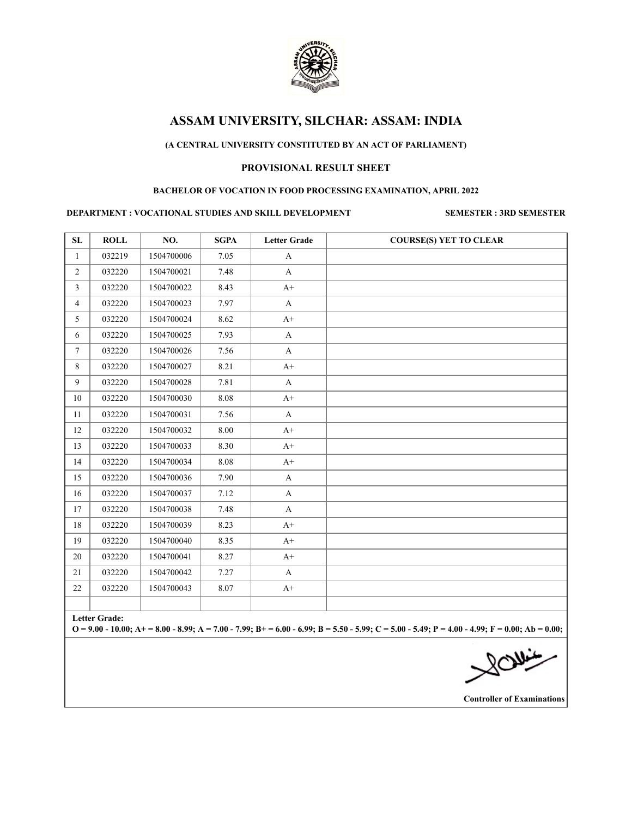

### **(A CENTRAL UNIVERSITY CONSTITUTED BY AN ACT OF PARLIAMENT)**

## **PROVISIONAL RESULT SHEET**

#### **BACHELOR OF VOCATION IN FOOD PROCESSING EXAMINATION, APRIL 2022**

#### **DEPARTMENT : VOCATIONAL STUDIES AND SKILL DEVELOPMENT SEMESTER : 3RD SEMESTER**

| SL             | <b>ROLL</b>          | NO.        | <b>SGPA</b> | <b>Letter Grade</b> | <b>COURSE(S) YET TO CLEAR</b>                                                                                                                     |
|----------------|----------------------|------------|-------------|---------------------|---------------------------------------------------------------------------------------------------------------------------------------------------|
| $\mathbf{1}$   | 032219               | 1504700006 | 7.05        | $\mathbf{A}$        |                                                                                                                                                   |
| $\overline{2}$ | 032220               | 1504700021 | 7.48        | A                   |                                                                                                                                                   |
| $\mathfrak{Z}$ | 032220               | 1504700022 | 8.43        | $A+$                |                                                                                                                                                   |
| 4              | 032220               | 1504700023 | 7.97        | A                   |                                                                                                                                                   |
| 5              | 032220               | 1504700024 | 8.62        | $A+$                |                                                                                                                                                   |
| 6              | 032220               | 1504700025 | 7.93        | $\mathbf{A}$        |                                                                                                                                                   |
| $7^{\circ}$    | 032220               | 1504700026 | 7.56        | A                   |                                                                                                                                                   |
| 8              | 032220               | 1504700027 | 8.21        | $A+$                |                                                                                                                                                   |
| 9              | 032220               | 1504700028 | 7.81        | $\mathbf{A}$        |                                                                                                                                                   |
| 10             | 032220               | 1504700030 | 8.08        | $A+$                |                                                                                                                                                   |
| 11             | 032220               | 1504700031 | 7.56        | $\mathbf{A}$        |                                                                                                                                                   |
| 12             | 032220               | 1504700032 | 8.00        | $A+$                |                                                                                                                                                   |
| 13             | 032220               | 1504700033 | 8.30        | $A+$                |                                                                                                                                                   |
| 14             | 032220               | 1504700034 | 8.08        | $A+$                |                                                                                                                                                   |
| 15             | 032220               | 1504700036 | 7.90        | A                   |                                                                                                                                                   |
| 16             | 032220               | 1504700037 | 7.12        | $\mathbf{A}$        |                                                                                                                                                   |
| 17             | 032220               | 1504700038 | 7.48        | A                   |                                                                                                                                                   |
| 18             | 032220               | 1504700039 | 8.23        | $A+$                |                                                                                                                                                   |
| 19             | 032220               | 1504700040 | 8.35        | $A+$                |                                                                                                                                                   |
| 20             | 032220               | 1504700041 | 8.27        | $A+$                |                                                                                                                                                   |
| 21             | 032220               | 1504700042 | 7.27        | A                   |                                                                                                                                                   |
| 22             | 032220               | 1504700043 | 8.07        | $A+$                |                                                                                                                                                   |
|                |                      |            |             |                     |                                                                                                                                                   |
|                | <b>Letter Grade:</b> |            |             |                     | $Q = 9.00 - 10.00$ ; A+ = 8.00 - 8.99; A = 7.00 - 7.99; B+ = 6.00 - 6.99; B = 5.50 - 5.99; C = 5.00 - 5.49; P = 4.00 - 4.99; F = 0.00; Ab = 0.00; |
|                |                      |            |             |                     |                                                                                                                                                   |
|                |                      |            |             |                     | $\bigtimes^{\text{O}}\overbrace{\text{O}}^{\text{O}}$                                                                                             |
|                |                      |            |             |                     |                                                                                                                                                   |
|                |                      |            |             |                     |                                                                                                                                                   |

**Controller of Examinations**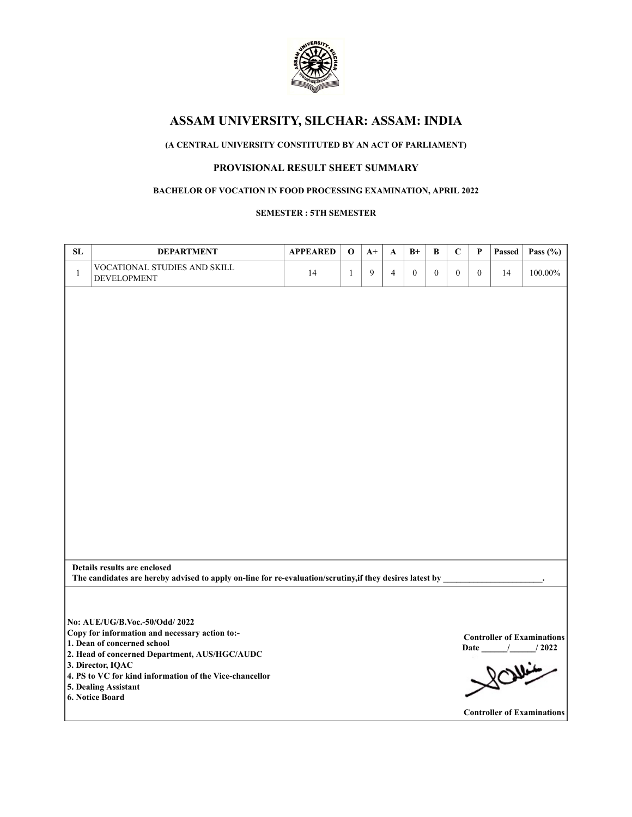

## **(A CENTRAL UNIVERSITY CONSTITUTED BY AN ACT OF PARLIAMENT)**

## **PROVISIONAL RESULT SHEET SUMMARY**

### **BACHELOR OF VOCATION IN FOOD PROCESSING EXAMINATION, APRIL 2022**

#### **SEMESTER : 5TH SEMESTER**

| SL           | <b>DEPARTMENT</b>                                                                                        | <b>APPEARED</b> | $\mathbf 0$  | $A+$ | $\mathbf{A}$   | $B+$             | $\bf{B}$         | $\mathbf C$      | $\mathbf{P}$     | Passed | Pass $(\% )$                                       |
|--------------|----------------------------------------------------------------------------------------------------------|-----------------|--------------|------|----------------|------------------|------------------|------------------|------------------|--------|----------------------------------------------------|
| $\mathbf{1}$ | VOCATIONAL STUDIES AND SKILL<br><b>DEVELOPMENT</b>                                                       | 14              | $\mathbf{1}$ | 9    | $\overline{4}$ | $\boldsymbol{0}$ | $\boldsymbol{0}$ | $\boldsymbol{0}$ | $\boldsymbol{0}$ | 14     | $100.00\%$                                         |
|              |                                                                                                          |                 |              |      |                |                  |                  |                  |                  |        |                                                    |
|              |                                                                                                          |                 |              |      |                |                  |                  |                  |                  |        |                                                    |
|              |                                                                                                          |                 |              |      |                |                  |                  |                  |                  |        |                                                    |
|              |                                                                                                          |                 |              |      |                |                  |                  |                  |                  |        |                                                    |
|              |                                                                                                          |                 |              |      |                |                  |                  |                  |                  |        |                                                    |
|              |                                                                                                          |                 |              |      |                |                  |                  |                  |                  |        |                                                    |
|              |                                                                                                          |                 |              |      |                |                  |                  |                  |                  |        |                                                    |
|              |                                                                                                          |                 |              |      |                |                  |                  |                  |                  |        |                                                    |
|              |                                                                                                          |                 |              |      |                |                  |                  |                  |                  |        |                                                    |
|              |                                                                                                          |                 |              |      |                |                  |                  |                  |                  |        |                                                    |
|              |                                                                                                          |                 |              |      |                |                  |                  |                  |                  |        |                                                    |
|              |                                                                                                          |                 |              |      |                |                  |                  |                  |                  |        |                                                    |
|              |                                                                                                          |                 |              |      |                |                  |                  |                  |                  |        |                                                    |
|              |                                                                                                          |                 |              |      |                |                  |                  |                  |                  |        |                                                    |
|              | Details results are enclosed                                                                             |                 |              |      |                |                  |                  |                  |                  |        |                                                    |
|              | The candidates are hereby advised to apply on-line for re-evaluation/scrutiny, if they desires latest by |                 |              |      |                |                  |                  |                  |                  |        |                                                    |
|              |                                                                                                          |                 |              |      |                |                  |                  |                  |                  |        |                                                    |
|              | No: AUE/UG/B.Voc - 50/Odd/ 2022<br>Copy for information and necessary action to:-                        |                 |              |      |                |                  |                  |                  |                  |        |                                                    |
|              | 1. Dean of concerned school                                                                              |                 |              |      |                |                  |                  |                  |                  |        | <b>Controller of Examinations</b><br>Date / / 2022 |
|              | 2. Head of concerned Department, AUS/HGC/AUDC<br>3. Director, IQAC                                       |                 |              |      |                |                  |                  |                  |                  |        |                                                    |
|              | 4. PS to VC for kind information of the Vice-chancellor<br>5. Dealing Assistant                          |                 |              |      |                |                  |                  |                  |                  | SOVILL |                                                    |
|              | 6. Notice Board                                                                                          |                 |              |      |                |                  |                  |                  |                  |        |                                                    |
|              |                                                                                                          |                 |              |      |                |                  |                  |                  |                  |        | <b>Controller of Examinations</b>                  |